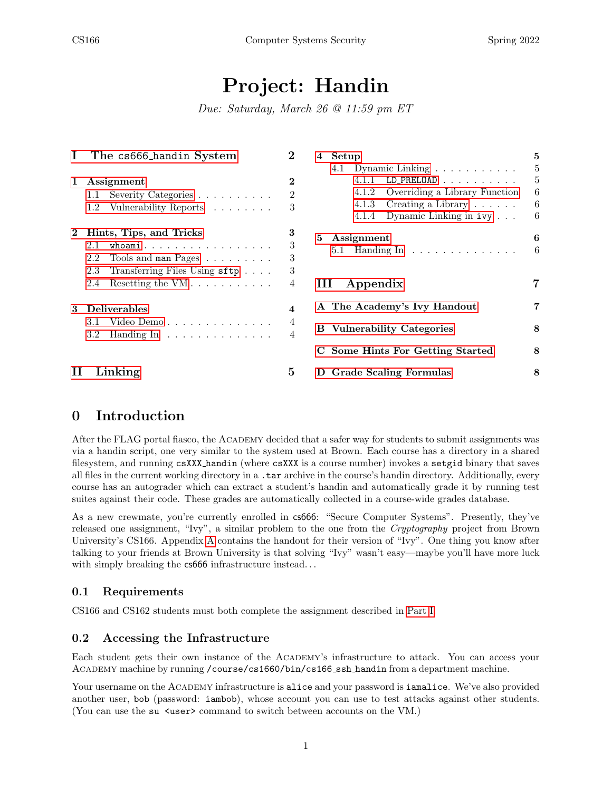# Project: Handin

Due: Saturday, March 26 @ 11:59 pm ET

| Ι.       | The cs666 handin System                                                        | 2                | Setup<br>4                                  | 5  |
|----------|--------------------------------------------------------------------------------|------------------|---------------------------------------------|----|
|          |                                                                                |                  | 4.1 Dynamic Linking                         | 5  |
| 1        | Assignment                                                                     | $\bf{2}$         | $LD\_PRELOAD$<br>4.1.1                      | 5  |
|          | Severity Categories<br>1.1                                                     | 2                | Overriding a Library Function<br>4.1.2      | 6  |
|          | Vulnerability Reports<br>$1.2^{\circ}$                                         | 3                | Creating a Library $\ldots \ldots$<br>4.1.3 | 6  |
|          |                                                                                |                  | Dynamic Linking in ivy<br>4.1.4             | 6  |
| $\bf{2}$ | Hints, Tips, and Tricks                                                        |                  | 5<br>Assignment                             | 6  |
|          | whoami<br>2.1                                                                  | 3                | 5.1 Handing In $\dots \dots \dots \dots$    | -6 |
|          | Tools and $\texttt{man}$ Pages $\;\ldots\;\ldots\;\ldots\;$ .<br>2.2           | 3                |                                             |    |
|          | 2.3<br>Transferring Files Using sftp                                           | 3                |                                             |    |
|          | Resetting the $VM \ldots \ldots \ldots$<br>2.4                                 | 4                | Ш<br>Appendix                               |    |
| 3        | <b>Deliverables</b>                                                            | $\boldsymbol{4}$ | A The Academy's Ivy Handout                 | 7  |
|          | Video Demo<br>3.1                                                              | 4                |                                             |    |
|          | 3.2<br>Handing $\text{In} \quad \ldots \quad \ldots \quad \ldots \quad \ldots$ | 4                | <b>B</b> Vulnerability Categories           | 8  |
|          |                                                                                |                  | Some Hints For Getting Started<br>C         | 8  |
|          | Linking                                                                        | 5                | Grade Scaling Formulas<br>D                 | 8  |

# 0 Introduction

After the FLAG portal fiasco, the Academy decided that a safer way for students to submit assignments was via a handin script, one very similar to the system used at Brown. Each course has a directory in a shared filesystem, and running csXXX handin (where csXXX is a course number) invokes a setgid binary that saves all files in the current working directory in a .tar archive in the course's handin directory. Additionally, every course has an autograder which can extract a student's handin and automatically grade it by running test suites against their code. These grades are automatically collected in a course-wide grades database.

As a new crewmate, you're currently enrolled in cs666: "Secure Computer Systems". Presently, they've released one assignment, "Ivy", a similar problem to the one from the Cryptography project from Brown University's CS166. Appendix [A](#page-6-1) contains the handout for their version of "Ivy". One thing you know after talking to your friends at Brown University is that solving "Ivy" wasn't easy—maybe you'll have more luck with simply breaking the  $c$ s666 infrastructure instead...

#### 0.1 Requirements

CS166 and CS162 students must both complete the assignment described in [Part I.](#page-1-0)

#### 0.2 Accessing the Infrastructure

Each student gets their own instance of the Academy's infrastructure to attack. You can access your Academy machine by running /course/cs1660/bin/cs166 ssh handin from a department machine.

Your username on the ACADEMY infrastructure is alice and your password is *iamalice*. We've also provided another user, bob (password: iambob), whose account you can use to test attacks against other students. (You can use the su  $\langle$ user> command to switch between accounts on the VM.)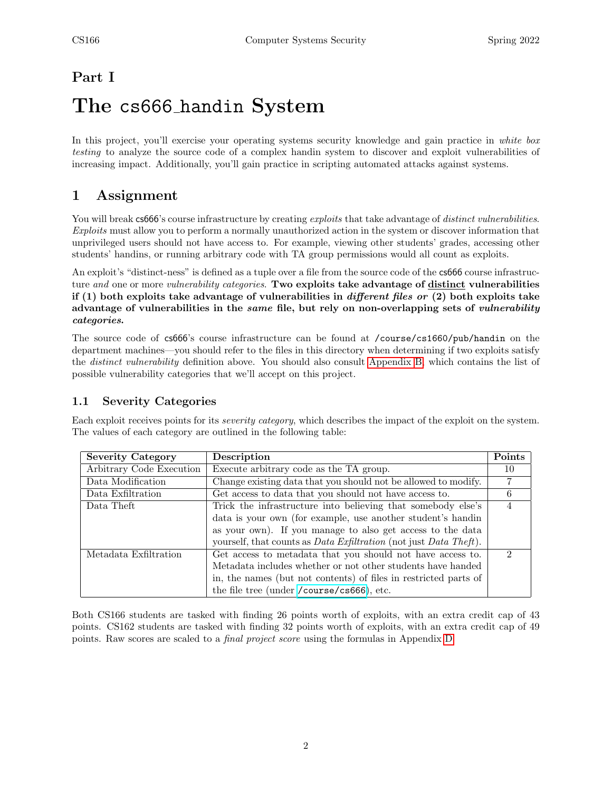## <span id="page-1-0"></span>Part I

# The cs666 handin System

In this project, you'll exercise your operating systems security knowledge and gain practice in white box testing to analyze the source code of a complex handin system to discover and exploit vulnerabilities of increasing impact. Additionally, you'll gain practice in scripting automated attacks against systems.

## <span id="page-1-1"></span>1 Assignment

You will break cs666's course infrastructure by creating exploits that take advantage of distinct vulnerabilities. Exploits must allow you to perform a normally unauthorized action in the system or discover information that unprivileged users should not have access to. For example, viewing other students' grades, accessing other students' handins, or running arbitrary code with TA group permissions would all count as exploits.

An exploit's "distinct-ness" is defined as a tuple over a file from the source code of the cs666 course infrastructure and one or more vulnerability categories. Two exploits take advantage of distinct vulnerabilities if (1) both exploits take advantage of vulnerabilities in *different files or* (2) both exploits take advantage of vulnerabilities in the same file, but rely on non-overlapping sets of vulnerability categories.

The source code of cs666's course infrastructure can be found at /course/cs1660/pub/handin on the department machines—you should refer to the files in this directory when determining if two exploits satisfy the distinct vulnerability definition above. You should also consult [Appendix B,](#page-7-0) which contains the list of possible vulnerability categories that we'll accept on this project.

### <span id="page-1-2"></span>1.1 Severity Categories

Each exploit receives points for its severity category, which describes the impact of the exploit on the system. The values of each category are outlined in the following table:

| <b>Severity Category</b> | Description                                                                      | Points                      |
|--------------------------|----------------------------------------------------------------------------------|-----------------------------|
| Arbitrary Code Execution | Execute arbitrary code as the TA group.                                          | 10                          |
| Data Modification        | Change existing data that you should not be allowed to modify.                   |                             |
| Data Exfiltration        | Get access to data that you should not have access to.                           | 6                           |
| Data Theft               | Trick the infrastructure into believing that somebody else's                     |                             |
|                          | data is your own (for example, use another student's handin                      |                             |
|                          | as your own). If you manage to also get access to the data                       |                             |
|                          | yourself, that counts as <i>Data Exfiltration</i> (not just <i>Data Theft</i> ). |                             |
| Metadata Exfiltration    | Get access to metadata that you should not have access to.                       | $\mathcal{D}_{\mathcal{L}}$ |
|                          | Metadata includes whether or not other students have handed                      |                             |
|                          | in, the names (but not contents) of files in restricted parts of                 |                             |
|                          | the file tree (under /course/cs666), etc.                                        |                             |

Both CS166 students are tasked with finding 26 points worth of exploits, with an extra credit cap of 43 points. CS162 students are tasked with finding 32 points worth of exploits, with an extra credit cap of 49 points. Raw scores are scaled to a final project score using the formulas in Appendix [D.](#page-7-2)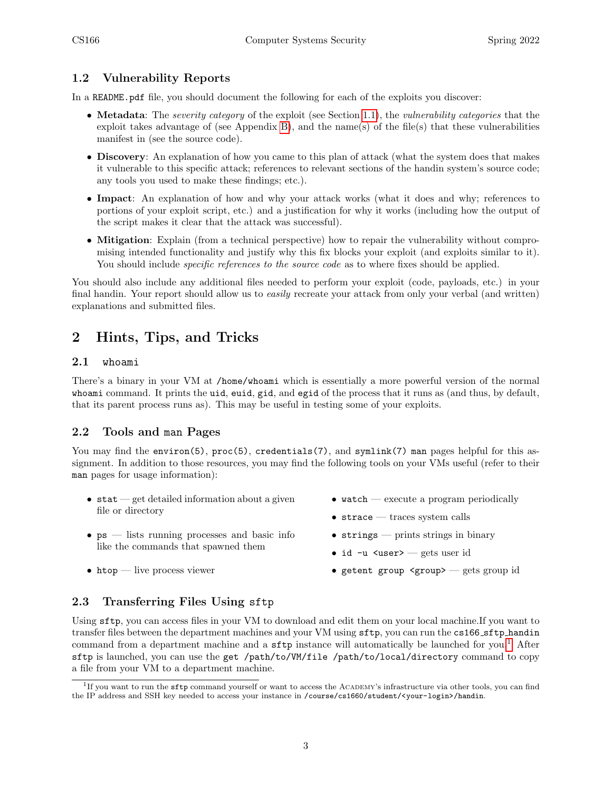### <span id="page-2-0"></span>1.2 Vulnerability Reports

In a README.pdf file, you should document the following for each of the exploits you discover:

- Metadata: The severity category of the exploit (see Section [1.1\)](#page-1-2), the vulnerability categories that the exploit takes advantage of (see Appendix [B\)](#page-7-0), and the name(s) of the file(s) that these vulnerabilities manifest in (see the source code).
- Discovery: An explanation of how you came to this plan of attack (what the system does that makes it vulnerable to this specific attack; references to relevant sections of the handin system's source code; any tools you used to make these findings; etc.).
- Impact: An explanation of how and why your attack works (what it does and why; references to portions of your exploit script, etc.) and a justification for why it works (including how the output of the script makes it clear that the attack was successful).
- Mitigation: Explain (from a technical perspective) how to repair the vulnerability without compromising intended functionality and justify why this fix blocks your exploit (and exploits similar to it). You should include *specific references to the source code* as to where fixes should be applied.

You should also include any additional files needed to perform your exploit (code, payloads, etc.) in your final handin. Your report should allow us to easily recreate your attack from only your verbal (and written) explanations and submitted files.

## <span id="page-2-1"></span>2 Hints, Tips, and Tricks

#### <span id="page-2-2"></span>2.1 whoami

There's a binary in your VM at /home/whoami which is essentially a more powerful version of the normal whoami command. It prints the uid, euid, gid, and egid of the process that it runs as (and thus, by default, that its parent process runs as). This may be useful in testing some of your exploits.

#### <span id="page-2-3"></span>2.2 Tools and man Pages

You may find the environ(5), proc(5), credentials(7), and symlink(7) man pages helpful for this assignment. In addition to those resources, you may find the following tools on your VMs useful (refer to their man pages for usage information):

- $\bullet$  stat get detailed information about a given file or directory
- $\bullet$  ps lists running processes and basic info like the commands that spawned them
- htop live process viewer
- watch execute a program periodically
- strace traces system calls
- strings prints strings in binary
- id -u <user> gets user id
- getent group <group> gets group id

## <span id="page-2-4"></span>2.3 Transferring Files Using sftp

Using sftp, you can access files in your VM to download and edit them on your local machine.If you want to transfer files between the department machines and your VM using sftp, you can run the cs166 sftp handin command from a department machine and a  $\text{sttp}$  instance will automatically be launched for you.<sup>[1](#page-2-5)</sup> After sftp is launched, you can use the get /path/to/VM/file /path/to/local/directory command to copy a file from your VM to a department machine.

<span id="page-2-5"></span><sup>&</sup>lt;sup>1</sup>If you want to run the sftp command yourself or want to access the ACADEMY's infrastructure via other tools, you can find the IP address and SSH key needed to access your instance in /course/cs1660/student/<your-login>/handin.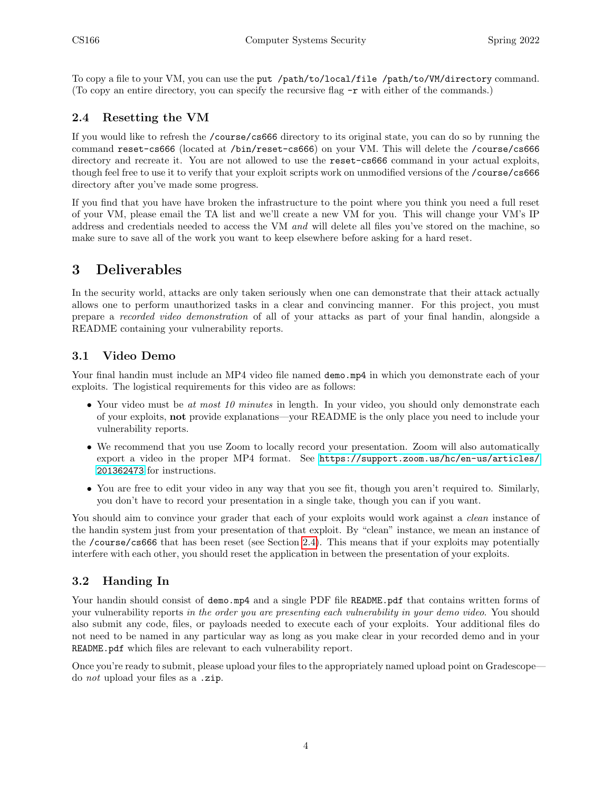To copy a file to your VM, you can use the put /path/to/local/file /path/to/VM/directory command. (To copy an entire directory, you can specify the recursive flag -r with either of the commands.)

### <span id="page-3-0"></span>2.4 Resetting the VM

If you would like to refresh the /course/cs666 directory to its original state, you can do so by running the command reset-cs666 (located at /bin/reset-cs666) on your VM. This will delete the /course/cs666 directory and recreate it. You are not allowed to use the reset-cs666 command in your actual exploits, though feel free to use it to verify that your exploit scripts work on unmodified versions of the /course/cs666 directory after you've made some progress.

If you find that you have have broken the infrastructure to the point where you think you need a full reset of your VM, please email the TA list and we'll create a new VM for you. This will change your VM's IP address and credentials needed to access the VM and will delete all files you've stored on the machine, so make sure to save all of the work you want to keep elsewhere before asking for a hard reset.

## <span id="page-3-1"></span>3 Deliverables

In the security world, attacks are only taken seriously when one can demonstrate that their attack actually allows one to perform unauthorized tasks in a clear and convincing manner. For this project, you must prepare a recorded video demonstration of all of your attacks as part of your final handin, alongside a README containing your vulnerability reports.

### <span id="page-3-2"></span>3.1 Video Demo

Your final handin must include an MP4 video file named demo.mp4 in which you demonstrate each of your exploits. The logistical requirements for this video are as follows:

- Your video must be at most 10 minutes in length. In your video, you should only demonstrate each of your exploits, not provide explanations––your README is the only place you need to include your vulnerability reports.
- We recommend that you use Zoom to locally record your presentation. Zoom will also automatically export a video in the proper MP4 format. See [https://support.zoom.us/hc/en-us/articles/](https://support.zoom.us/hc/en-us/articles/201362473) [201362473](https://support.zoom.us/hc/en-us/articles/201362473) for instructions.
- You are free to edit your video in any way that you see fit, though you aren't required to. Similarly, you don't have to record your presentation in a single take, though you can if you want.

You should aim to convince your grader that each of your exploits would work against a *clean* instance of the handin system just from your presentation of that exploit. By "clean" instance, we mean an instance of the /course/cs666 that has been reset (see Section [2.4\)](#page-3-0). This means that if your exploits may potentially interfere with each other, you should reset the application in between the presentation of your exploits.

#### <span id="page-3-3"></span>3.2 Handing In

Your handin should consist of demo.mp4 and a single PDF file README.pdf that contains written forms of your vulnerability reports in the order you are presenting each vulnerability in your demo video. You should also submit any code, files, or payloads needed to execute each of your exploits. Your additional files do not need to be named in any particular way as long as you make clear in your recorded demo and in your README.pdf which files are relevant to each vulnerability report.

Once you're ready to submit, please upload your files to the appropriately named upload point on Gradescope do not upload your files as a .zip.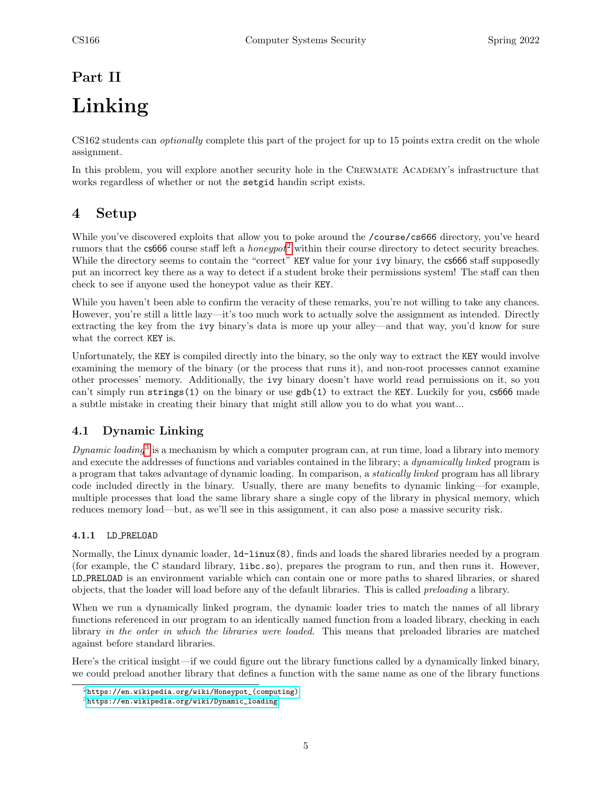# <span id="page-4-0"></span>Part II Linking

CS162 students can optionally complete this part of the project for up to 15 points extra credit on the whole assignment.

In this problem, you will explore another security hole in the CREWMATE ACADEMY's infrastructure that works regardless of whether or not the setgid handin script exists.

## <span id="page-4-1"></span>4 Setup

While you've discovered exploits that allow you to poke around the /course/cs666 directory, you've heard rumors that the  $\cos 666$  course staff left a *honeypot*<sup>[2](#page-4-4)</sup> within their course directory to detect security breaches. While the directory seems to contain the "correct" KEY value for your ivy binary, the cs666 staff supposedly put an incorrect key there as a way to detect if a student broke their permissions system! The staff can then check to see if anyone used the honeypot value as their KEY.

While you haven't been able to confirm the veracity of these remarks, you're not willing to take any chances. However, you're still a little lazy—it's too much work to actually solve the assignment as intended. Directly extracting the key from the ivy binary's data is more up your alley—and that way, you'd know for sure what the correct KEY is.

Unfortunately, the KEY is compiled directly into the binary, so the only way to extract the KEY would involve examining the memory of the binary (or the process that runs it), and non-root processes cannot examine other processes' memory. Additionally, the ivy binary doesn't have world read permissions on it, so you can't simply run strings(1) on the binary or use  $\text{gdb}(1)$  to extract the KEY. Luckily for you, cs666 made a subtle mistake in creating their binary that might still allow you to do what you want...

## <span id="page-4-2"></span>4.1 Dynamic Linking

Dynamic loading<sup>[3](#page-4-5)</sup> is a mechanism by which a computer program can, at run time, load a library into memory and execute the addresses of functions and variables contained in the library; a *dynamically linked* program is a program that takes advantage of dynamic loading. In comparison, a statically linked program has all library code included directly in the binary. Usually, there are many benefits to dynamic linking—for example, multiple processes that load the same library share a single copy of the library in physical memory, which reduces memory load—but, as we'll see in this assignment, it can also pose a massive security risk.

#### <span id="page-4-3"></span>4.1.1 LD PRELOAD

Normally, the Linux dynamic loader, ld-linux(8), finds and loads the shared libraries needed by a program (for example, the C standard library, libc.so), prepares the program to run, and then runs it. However, LD PRELOAD is an environment variable which can contain one or more paths to shared libraries, or shared objects, that the loader will load before any of the default libraries. This is called preloading a library.

When we run a dynamically linked program, the dynamic loader tries to match the names of all library functions referenced in our program to an identically named function from a loaded library, checking in each library in the order in which the libraries were loaded. This means that preloaded libraries are matched against before standard libraries.

Here's the critical insight—if we could figure out the library functions called by a dynamically linked binary, we could preload another library that defines a function with the same name as one of the library functions

<span id="page-4-4"></span> $2$ [https://en.wikipedia.org/wiki/Honeypot\\_\(computing\)](https://en.wikipedia.org/wiki/Honeypot_(computing))

<span id="page-4-5"></span> $3$ [https://en.wikipedia.org/wiki/Dynamic\\_loading](https://en.wikipedia.org/wiki/Dynamic_loading)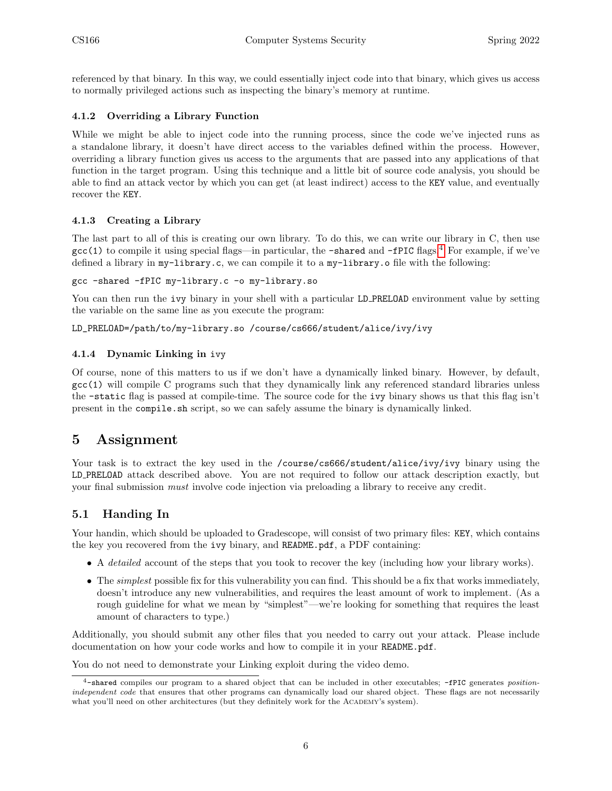referenced by that binary. In this way, we could essentially inject code into that binary, which gives us access to normally privileged actions such as inspecting the binary's memory at runtime.

#### <span id="page-5-0"></span>4.1.2 Overriding a Library Function

While we might be able to inject code into the running process, since the code we've injected runs as a standalone library, it doesn't have direct access to the variables defined within the process. However, overriding a library function gives us access to the arguments that are passed into any applications of that function in the target program. Using this technique and a little bit of source code analysis, you should be able to find an attack vector by which you can get (at least indirect) access to the KEY value, and eventually recover the KEY.

#### <span id="page-5-1"></span>4.1.3 Creating a Library

The last part to all of this is creating our own library. To do this, we can write our library in C, then use  $\text{gcc}(1)$  to compile it using special flags—in particular, the  $\text{-shared}$  and  $\text{-fPIC}$  flags.<sup>[4](#page-5-5)</sup> For example, if we've defined a library in my-library.c, we can compile it to a my-library.o file with the following:

gcc -shared -fPIC my-library.c -o my-library.so

You can then run the ivy binary in your shell with a particular LD PRELOAD environment value by setting the variable on the same line as you execute the program:

LD\_PRELOAD=/path/to/my-library.so /course/cs666/student/alice/ivy/ivy

#### <span id="page-5-2"></span>4.1.4 Dynamic Linking in ivy

Of course, none of this matters to us if we don't have a dynamically linked binary. However, by default, gcc(1) will compile C programs such that they dynamically link any referenced standard libraries unless the -static flag is passed at compile-time. The source code for the ivy binary shows us that this flag isn't present in the compile.sh script, so we can safely assume the binary is dynamically linked.

## <span id="page-5-3"></span>5 Assignment

Your task is to extract the key used in the /course/cs666/student/alice/ivy/ivy binary using the LD PRELOAD attack described above. You are not required to follow our attack description exactly, but your final submission must involve code injection via preloading a library to receive any credit.

#### <span id="page-5-4"></span>5.1 Handing In

Your handin, which should be uploaded to Gradescope, will consist of two primary files: KEY, which contains the key you recovered from the ivy binary, and README.pdf, a PDF containing:

- A detailed account of the steps that you took to recover the key (including how your library works).
- The *simplest* possible fix for this vulnerability you can find. This should be a fix that works immediately, doesn't introduce any new vulnerabilities, and requires the least amount of work to implement. (As a rough guideline for what we mean by "simplest"—we're looking for something that requires the least amount of characters to type.)

Additionally, you should submit any other files that you needed to carry out your attack. Please include documentation on how your code works and how to compile it in your README.pdf.

You do not need to demonstrate your Linking exploit during the video demo.

<span id="page-5-5"></span> $4$ -shared compiles our program to a shared object that can be included in other executables; -fPIC generates positionindependent code that ensures that other programs can dynamically load our shared object. These flags are not necessarily what you'll need on other architectures (but they definitely work for the ACADEMY's system).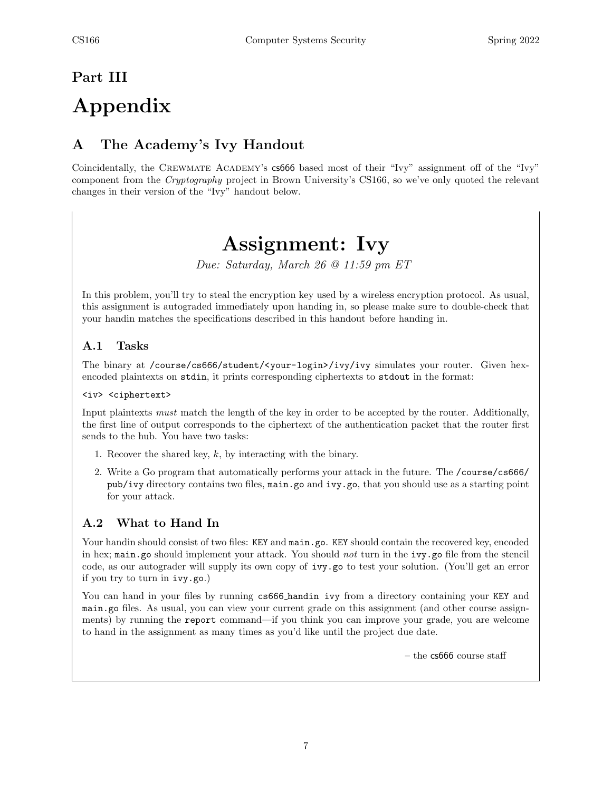# <span id="page-6-0"></span>Part III

# Appendix

# <span id="page-6-1"></span>A The Academy's Ivy Handout

Coincidentally, the Crewmate Academy's cs666 based most of their "Ivy" assignment off of the "Ivy" component from the Cryptography project in Brown University's CS166, so we've only quoted the relevant changes in their version of the "Ivy" handout below.

# Assignment: Ivy

Due: Saturday, March 26 @ 11:59 pm ET

In this problem, you'll try to steal the encryption key used by a wireless encryption protocol. As usual, this assignment is autograded immediately upon handing in, so please make sure to double-check that your handin matches the specifications described in this handout before handing in.

## A.1 Tasks

The binary at /course/cs666/student/<your-login>/ivy/ivy simulates your router. Given hexencoded plaintexts on stdin, it prints corresponding ciphertexts to stdout in the format:

<iv> <ciphertext>

Input plaintexts must match the length of the key in order to be accepted by the router. Additionally, the first line of output corresponds to the ciphertext of the authentication packet that the router first sends to the hub. You have two tasks:

- 1. Recover the shared key, k, by interacting with the binary.
- 2. Write a Go program that automatically performs your attack in the future. The /course/cs666/ pub/ivy directory contains two files, main.go and ivy.go, that you should use as a starting point for your attack.

## A.2 What to Hand In

Your handin should consist of two files: KEY and main.go. KEY should contain the recovered key, encoded in hex; main.go should implement your attack. You should not turn in the ivy.go file from the stencil code, as our autograder will supply its own copy of ivy.go to test your solution. (You'll get an error if you try to turn in ivy.go.)

You can hand in your files by running  $c\,s\,666$  handin ivy from a directory containing your KEY and main.go files. As usual, you can view your current grade on this assignment (and other course assignments) by running the report command—if you think you can improve your grade, you are welcome to hand in the assignment as many times as you'd like until the project due date.

– the  $cs666$  course staff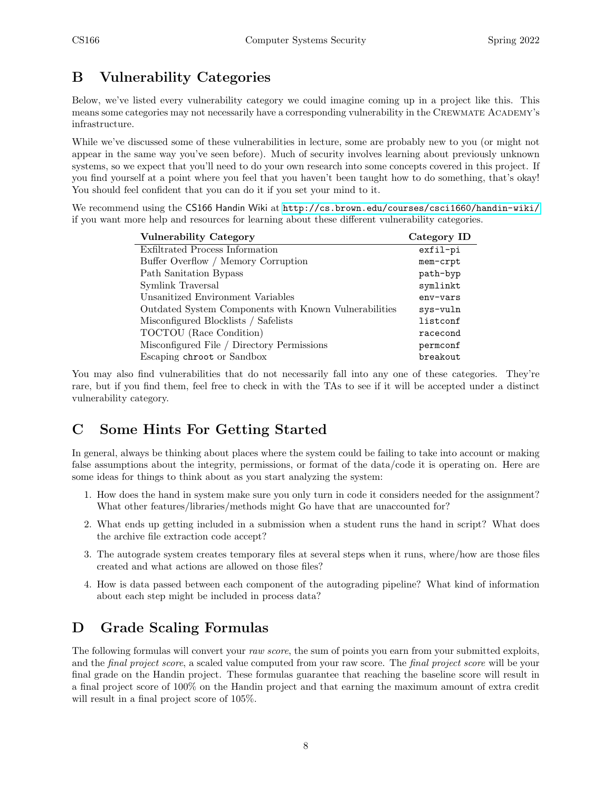# <span id="page-7-0"></span>B Vulnerability Categories

Below, we've listed every vulnerability category we could imagine coming up in a project like this. This means some categories may not necessarily have a corresponding vulnerability in the Crewmate Academy's infrastructure.

While we've discussed some of these vulnerabilities in lecture, some are probably new to you (or might not appear in the same way you've seen before). Much of security involves learning about previously unknown systems, so we expect that you'll need to do your own research into some concepts covered in this project. If you find yourself at a point where you feel that you haven't been taught how to do something, that's okay! You should feel confident that you can do it if you set your mind to it.

We recommend using the CS166 Handin Wiki at <http://cs.brown.edu/courses/csci1660/handin-wiki/> if you want more help and resources for learning about these different vulnerability categories.

| <b>Vulnerability Category</b>                         | Category ID |
|-------------------------------------------------------|-------------|
| Exfiltrated Process Information                       | exfil-pi    |
| Buffer Overflow / Memory Corruption                   | mem-crpt    |
| Path Sanitation Bypass                                | path-byp    |
| Symlink Traversal                                     | symlinkt    |
| Unsanitized Environment Variables                     | env-vars    |
| Outdated System Components with Known Vulnerabilities | sys-vuln    |
| Misconfigured Blocklists / Safelists                  | listconf    |
| TOCTOU (Race Condition)                               | racecond    |
| Misconfigured File / Directory Permissions            | permconf    |
| Escaping chroot or Sandbox                            | breakout    |

You may also find vulnerabilities that do not necessarily fall into any one of these categories. They're rare, but if you find them, feel free to check in with the TAs to see if it will be accepted under a distinct vulnerability category.

# <span id="page-7-1"></span>C Some Hints For Getting Started

In general, always be thinking about places where the system could be failing to take into account or making false assumptions about the integrity, permissions, or format of the data/code it is operating on. Here are some ideas for things to think about as you start analyzing the system:

- 1. How does the hand in system make sure you only turn in code it considers needed for the assignment? What other features/libraries/methods might Go have that are unaccounted for?
- 2. What ends up getting included in a submission when a student runs the hand in script? What does the archive file extraction code accept?
- 3. The autograde system creates temporary files at several steps when it runs, where/how are those files created and what actions are allowed on those files?
- 4. How is data passed between each component of the autograding pipeline? What kind of information about each step might be included in process data?

# <span id="page-7-2"></span>D Grade Scaling Formulas

The following formulas will convert your raw score, the sum of points you earn from your submitted exploits, and the *final project score*, a scaled value computed from your raw score. The *final project score* will be your final grade on the Handin project. These formulas guarantee that reaching the baseline score will result in a final project score of 100% on the Handin project and that earning the maximum amount of extra credit will result in a final project score of 105%.